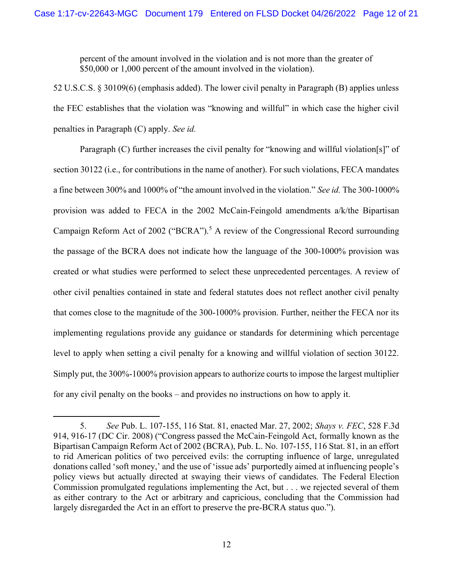percent of the amount involved in the violation and is not more than the greater of \$50,000 or 1,000 percent of the amount involved in the violation).

 52 U.S.C.S. § 30109(6) (emphasis added). The lower civil penalty in Paragraph (B) applies unless the FEC establishes that the violation was "knowing and willful" in which case the higher civil penalties in Paragraph (C) apply. See id.

 Paragraph (C) further increases the civil penalty for "knowing and willful violation[s]" of section 30122 (i.e., for contributions in the name of another). For such violations, FECA mandates a fine between 300% and 1000% of "the amount involved in the violation." See id. The 300-1000% provision was added to FECA in the 2002 McCain-Feingold amendments a/k/the Bipartisan Campaign Reform Act of 2002 ("BCRA").<sup>5</sup> A review of the Congressional Record surrounding the passage of the BCRA does not indicate how the language of the 300-1000% provision was created or what studies were performed to select these unprecedented percentages. A review of other civil penalties contained in state and federal statutes does not reflect another civil penalty that comes close to the magnitude of the 300-1000% provision. Further, neither the FECA nor its implementing regulations provide any guidance or standards for determining which percentage level to apply when setting a civil penalty for a knowing and willful violation of section 30122. Simply put, the 300%-1000% provision appears to authorize courts to impose the largest multiplier for any civil penalty on the books – and provides no instructions on how to apply it.

<sup>5.</sup>  914, 916-17 (DC Cir. 2008) ("Congress passed the McCain-Feingold Act, formally known as the Bipartisan Campaign Reform Act of 2002 (BCRA), Pub. L. No. 107-155, 116 Stat. 81, in an effort to rid American politics of two perceived evils: the corrupting influence of large, unregulated donations called 'soft money,' and the use of 'issue ads' purportedly aimed at influencing people's policy views but actually directed at swaying their views of candidates. The Federal Election Commission promulgated regulations implementing the Act, but . . . we rejected several of them as either contrary to the Act or arbitrary and capricious, concluding that the Commission had largely disregarded the Act in an effort to preserve the pre-BCRA status quo."). See Pub. L. 107-155, 116 Stat. 81, enacted Mar. 27, 2002; Shays v. FEC, 528 F.3d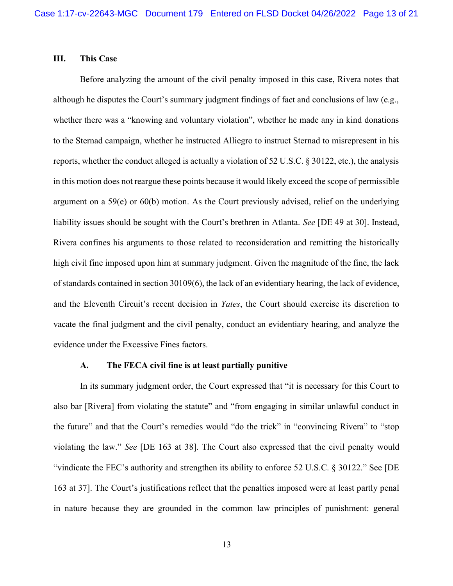#### Ш. This Case

 Before analyzing the amount of the civil penalty imposed in this case, Rivera notes that although he disputes the Court's summary judgment findings of fact and conclusions of law (e.g., whether there was a "knowing and voluntary violation", whether he made any in kind donations to the Sternad campaign, whether he instructed Alliegro to instruct Sternad to misrepresent in his reports, whether the conduct alleged is actually a violation of 52 U.S.C. § 30122, etc.), the analysis in this motion does not reargue these points because it would likely exceed the scope of permissible argument on a 59(e) or 60(b) motion. As the Court previously advised, relief on the underlying liability issues should be sought with the Court's brethren in Atlanta. See [DE 49 at 30]. Instead, Rivera confines his arguments to those related to reconsideration and remitting the historically high civil fine imposed upon him at summary judgment. Given the magnitude of the fine, the lack of standards contained in section 30109(6), the lack of an evidentiary hearing, the lack of evidence, and the Eleventh Circuit's recent decision in Yates, the Court should exercise its discretion to vacate the final judgment and the civil penalty, conduct an evidentiary hearing, and analyze the evidence under the Excessive Fines factors.

#### A. The FECA civil fine is at least partially punitive

also bar [Rivera] from violating the statute" and "from engaging in similar unlawful conduct in the future" and that the Court's remedies would "do the trick" in "convincing Rivera" to "stop violating the law." See [DE 163 at 38]. The Court also expressed that the civil penalty would "vindicate the FEC's authority and strengthen its ability to enforce 52 U.S.C. § 30122." See [DE 163 at 37]. The Court's justifications reflect that the penalties imposed were at least partly penal in nature because they are grounded in the common law principles of punishment: general In its summary judgment order, the Court expressed that "it is necessary for this Court to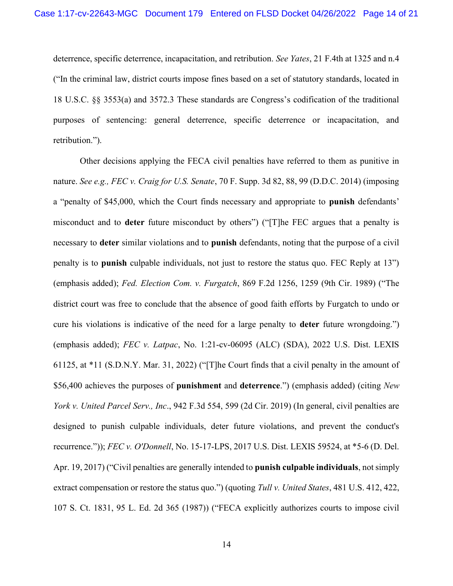deterrence, specific deterrence, incapacitation, and retribution. See Yates, 21 F.4th at 1325 and n.4 ("In the criminal law, district courts impose fines based on a set of statutory standards, located in 18 U.S.C. §§ 3553(a) and 3572.3 These standards are Congress's codification of the traditional purposes of sentencing: general deterrence, specific deterrence or incapacitation, and retribution.").

 Other decisions applying the FECA civil penalties have referred to them as punitive in nature. See e.g., FEC v. Craig for U.S. Senate, 70 F. Supp. 3d 82, 88, 99 (D.D.C. 2014) (imposing a "penalty of \$45,000, which the Court finds necessary and appropriate to punish defendants' misconduct and to **deter** future misconduct by others") ("[T]he FEC argues that a penalty is necessary to deter similar violations and to punish defendants, noting that the purpose of a civil penalty is to punish culpable individuals, not just to restore the status quo. FEC Reply at 13") (emphasis added); Fed. Election Com. v. Furgatch, 869 F.2d 1256, 1259 (9th Cir. 1989) ("The district court was free to conclude that the absence of good faith efforts by Furgatch to undo or cure his violations is indicative of the need for a large penalty to deter future wrongdoing.") (emphasis added); FEC v. Latpac, No. 1:21-cv-06095 (ALC) (SDA), 2022 U.S. Dist. LEXIS 61125, at \*11 (S.D.N.Y. Mar. 31, 2022) ("[T]he Court finds that a civil penalty in the amount of \$56,400 achieves the purposes of punishment and deterrence.") (emphasis added) (citing New York v. United Parcel Serv., Inc., 942 F.3d 554, 599 (2d Cir. 2019) (In general, civil penalties are designed to punish culpable individuals, deter future violations, and prevent the conduct's recurrence.")); FEC v. O'Donnell, No. 15-17-LPS, 2017 U.S. Dist. LEXIS 59524, at \*5-6 (D. Del. Apr. 19, 2017) ("Civil penalties are generally intended to punish culpable individuals, not simply extract compensation or restore the status quo.") (quoting Tull v. United States, 481 U.S. 412, 422, 107 S. Ct. 1831, 95 L. Ed. 2d 365 (1987)) ("FECA explicitly authorizes courts to impose civil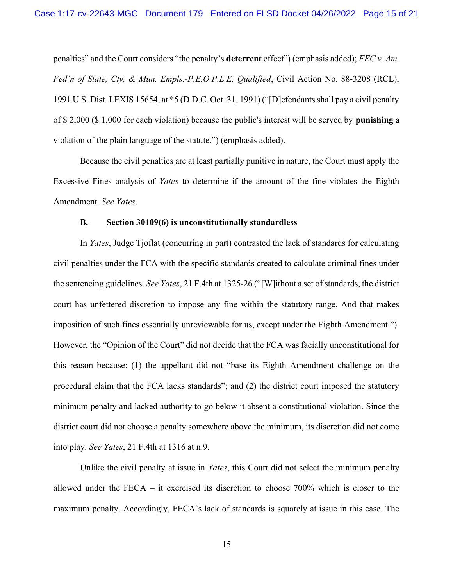penalties" and the Court considers "the penalty's **deterrent** effect") (emphasis added); FEC v. Am. Fed'n of State, Cty. & Mun. Empls.-P.E.O.P.L.E. Qualified, Civil Action No. 88-3208 (RCL), 1991 U.S. Dist. LEXIS 15654, at \*5 (D.D.C. Oct. 31, 1991) ("[D]efendants shall pay a civil penalty of \$2,000 (\$1,000 for each violation) because the public's interest will be served by punishing a violation of the plain language of the statute.") (emphasis added).

 Because the civil penalties are at least partially punitive in nature, the Court must apply the Excessive Fines analysis of Yates to determine if the amount of the fine violates the Eighth Amendment. See Yates.

#### **B.** Section 30109(6) is unconstitutionally standardless

In Yates, Judge Tjoflat (concurring in part) contrasted the lack of standards for calculating civil penalties under the FCA with the specific standards created to calculate criminal fines under the sentencing guidelines. See Yates, 21 F.4th at 1325-26 ("[W]ithout a set of standards, the district court has unfettered discretion to impose any fine within the statutory range. And that makes imposition of such fines essentially unreviewable for us, except under the Eighth Amendment."). However, the "Opinion of the Court" did not decide that the FCA was facially unconstitutional for this reason because: (1) the appellant did not "base its Eighth Amendment challenge on the procedural claim that the FCA lacks standards"; and (2) the district court imposed the statutory minimum penalty and lacked authority to go below it absent a constitutional violation. Since the district court did not choose a penalty somewhere above the minimum, its discretion did not come into play. See Yates, 21 F.4th at 1316 at n.9.

Unlike the civil penalty at issue in Yates, this Court did not select the minimum penalty allowed under the FECA – it exercised its discretion to choose 700% which is closer to the maximum penalty. Accordingly, FECA's lack of standards is squarely at issue in this case. The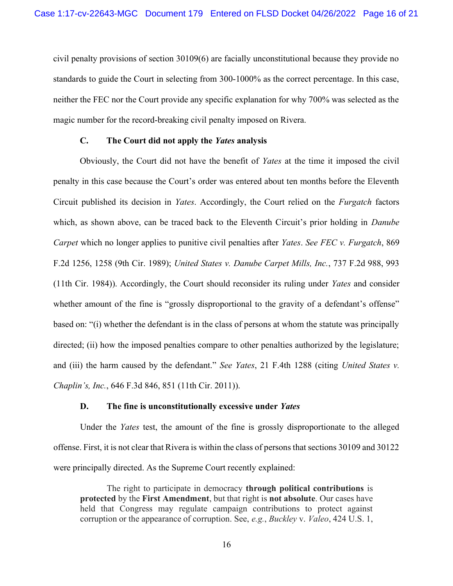civil penalty provisions of section 30109(6) are facially unconstitutional because they provide no standards to guide the Court in selecting from 300-1000% as the correct percentage. In this case, neither the FEC nor the Court provide any specific explanation for why 700% was selected as the magic number for the record-breaking civil penalty imposed on Rivera.

### $C_{\bullet}$ The Court did not apply the Yates analysis

Obviously, the Court did not have the benefit of Yates at the time it imposed the civil penalty in this case because the Court's order was entered about ten months before the Eleventh Circuit published its decision in Yates. Accordingly, the Court relied on the Furgatch factors which, as shown above, can be traced back to the Eleventh Circuit's prior holding in *Danube* Carpet which no longer applies to punitive civil penalties after Yates. See FEC v. Furgatch, 869 F.2d 1256, 1258 (9th Cir. 1989); United States v. Danube Carpet Mills, Inc., 737 F.2d 988, 993 (11th Cir. 1984)). Accordingly, the Court should reconsider its ruling under Yates and consider whether amount of the fine is "grossly disproportional to the gravity of a defendant's offense" based on: "(i) whether the defendant is in the class of persons at whom the statute was principally directed; (ii) how the imposed penalties compare to other penalties authorized by the legislature; and (iii) the harm caused by the defendant." See Yates, 21 F.4th 1288 (citing United States v. Chaplin's, Inc., 646 F.3d 846, 851 (11th Cir. 2011)).

#### D. The fine is unconstitutionally excessive under Yates

Under the Yates test, the amount of the fine is grossly disproportionate to the alleged offense. First, it is not clear that Rivera is within the class of persons that sections 30109 and 30122 were principally directed. As the Supreme Court recently explained:

The right to participate in democracy through political contributions is protected by the First Amendment, but that right is not absolute. Our cases have held that Congress may regulate campaign contributions to protect against corruption or the appearance of corruption. See, e.g., Buckley v. Valeo, 424 U.S. 1,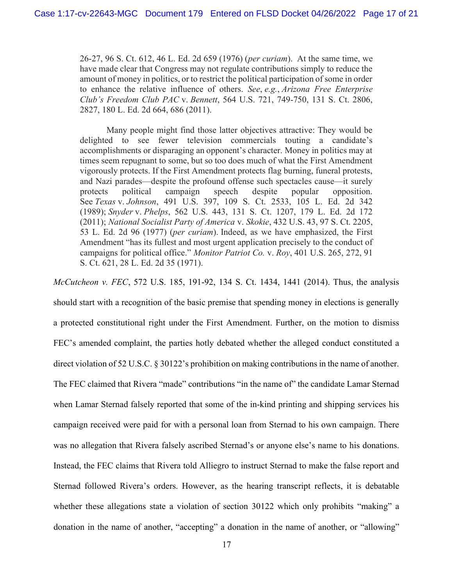26-27, 96 S. Ct. 612, 46 L. Ed. 2d 659 (1976) (*per curiam*). At the same time, we have made clear that Congress may not regulate contributions simply to reduce the amount of money in politics, or to restrict the political participation of some in order to enhance the relative influence of others. See, e.g., Arizona Free Enterprise Club's Freedom Club PAC v. Bennett, 564 U.S. 721, 749-750, 131 S. Ct. 2806, 2827, 180 L. Ed. 2d 664, 686 (2011).

 Many people might find those latter objectives attractive: They would be delighted to see fewer television commercials touting a candidate's accomplishments or disparaging an opponent's character. Money in politics may at times seem repugnant to some, but so too does much of what the First Amendment vigorously protects. If the First Amendment protects flag burning, funeral protests, and Nazi parades—despite the profound offense such spectacles cause—it surely protects See Texas v. Johnson, 491 U.S. 397, 109 S. Ct. 2533, 105 L. Ed. 2d 342 (1989); Snyder v. Phelps, 562 U.S. 443, 131 S. Ct. 1207, 179 L. Ed. 2d 172 (2011); National Socialist Party of America v. Skokie, 432 U.S. 43, 97 S. Ct. 2205, 53 L. Ed. 2d 96 (1977) (per curiam). Indeed, as we have emphasized, the First Amendment "has its fullest and most urgent application precisely to the conduct of campaigns for political office." Monitor Patriot Co. v. Roy, 401 U.S. 265, 272, 91 S. Ct. 621, 28 L. Ed. 2d 35 (1971). political campaign speech despite popular opposition.

McCutcheon v. FEC, 572 U.S. 185, 191-92, 134 S. Ct. 1434, 1441 (2014). Thus, the analysis should start with a recognition of the basic premise that spending money in elections is generally a protected constitutional right under the First Amendment. Further, on the motion to dismiss FEC's amended complaint, the parties hotly debated whether the alleged conduct constituted a direct violation of 52 U.S.C. § 30122's prohibition on making contributions in the name of another. The FEC claimed that Rivera "made" contributions "in the name of" the candidate Lamar Sternad when Lamar Sternad falsely reported that some of the in-kind printing and shipping services his campaign received were paid for with a personal loan from Sternad to his own campaign. There was no allegation that Rivera falsely ascribed Sternad's or anyone else's name to his donations. Instead, the FEC claims that Rivera told Alliegro to instruct Sternad to make the false report and Sternad followed Rivera's orders. However, as the hearing transcript reflects, it is debatable whether these allegations state a violation of section 30122 which only prohibits "making" a donation in the name of another, "accepting" a donation in the name of another, or "allowing"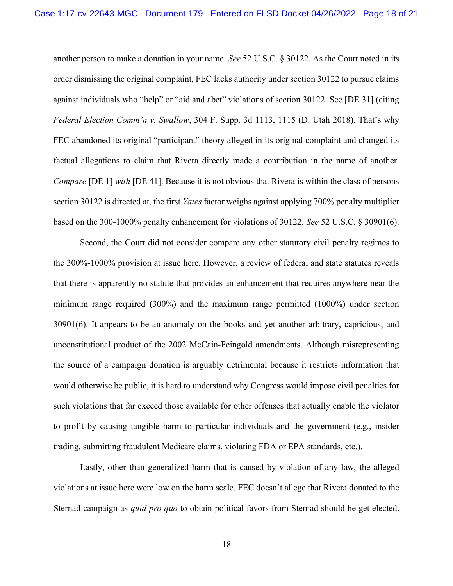another person to make a donation in your name. See 52 U.S.C. § 30122. As the Court noted in its order dismissing the original complaint, FEC lacks authority under section 30122 to pursue claims against individuals who "help" or "aid and abet" violations of section 30122. See [DE 31] (citing Federal Election Comm'n v. Swallow, 304 F. Supp. 3d 1113, 1115 (D. Utah 2018). That's why FEC abandoned its original "participant" theory alleged in its original complaint and changed its factual allegations to claim that Rivera directly made a contribution in the name of another. Compare [DE 1] with [DE 41]. Because it is not obvious that Rivera is within the class of persons section 30122 is directed at, the first Yates factor weighs against applying 700% penalty multiplier based on the 300-1000% penalty enhancement for violations of 30122. See 52 U.S.C. § 30901(6).

 Second, the Court did not consider compare any other statutory civil penalty regimes to the 300%-1000% provision at issue here. However, a review of federal and state statutes reveals that there is apparently no statute that provides an enhancement that requires anywhere near the minimum range required (300%) and the maximum range permitted (1000%) under section 30901(6). It appears to be an anomaly on the books and yet another arbitrary, capricious, and unconstitutional product of the 2002 McCain-Feingold amendments. Although misrepresenting the source of a campaign donation is arguably detrimental because it restricts information that would otherwise be public, it is hard to understand why Congress would impose civil penalties for such violations that far exceed those available for other offenses that actually enable the violator to profit by causing tangible harm to particular individuals and the government (e.g., insider trading, submitting fraudulent Medicare claims, violating FDA or EPA standards, etc.).

 Lastly, other than generalized harm that is caused by violation of any law, the alleged violations at issue here were low on the harm scale. FEC doesn't allege that Rivera donated to the Sternad campaign as quid pro quo to obtain political favors from Sternad should he get elected.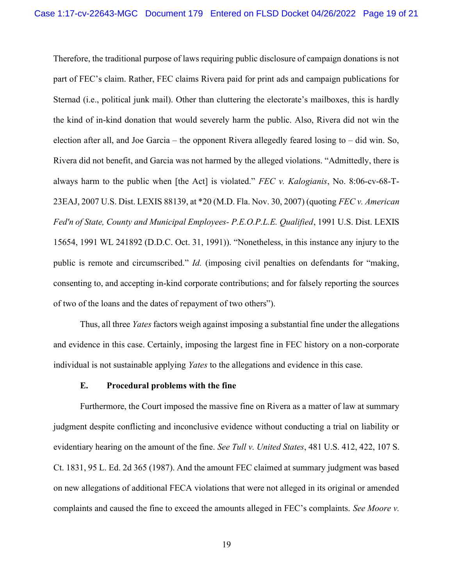Therefore, the traditional purpose of laws requiring public disclosure of campaign donations is not part of FEC's claim. Rather, FEC claims Rivera paid for print ads and campaign publications for Sternad (i.e., political junk mail). Other than cluttering the electorate's mailboxes, this is hardly the kind of in-kind donation that would severely harm the public. Also, Rivera did not win the election after all, and Joe Garcia – the opponent Rivera allegedly feared losing to – did win. So, Rivera did not benefit, and Garcia was not harmed by the alleged violations. "Admittedly, there is always harm to the public when [the Act] is violated." FEC v. Kalogianis, No. 8:06-cv-68-T-23EAJ, 2007 U.S. Dist. LEXIS 88139, at \*20 (M.D. Fla. Nov. 30, 2007) (quoting FEC v. American Fed'n of State, County and Municipal Employees- P.E.O.P.L.E. Qualified, 1991 U.S. Dist. LEXIS 15654, 1991 WL 241892 (D.D.C. Oct. 31, 1991)). "Nonetheless, in this instance any injury to the public is remote and circumscribed." Id. (imposing civil penalties on defendants for "making, consenting to, and accepting in-kind corporate contributions; and for falsely reporting the sources of two of the loans and the dates of repayment of two others").

Thus, all three Yates factors weigh against imposing a substantial fine under the allegations and evidence in this case. Certainly, imposing the largest fine in FEC history on a non-corporate individual is not sustainable applying Yates to the allegations and evidence in this case.

## E. Procedural problems with the fine

 Furthermore, the Court imposed the massive fine on Rivera as a matter of law at summary judgment despite conflicting and inconclusive evidence without conducting a trial on liability or evidentiary hearing on the amount of the fine. See Tull v. United States, 481 U.S. 412, 422, 107 S. Ct. 1831, 95 L. Ed. 2d 365 (1987). And the amount FEC claimed at summary judgment was based on new allegations of additional FECA violations that were not alleged in its original or amended complaints and caused the fine to exceed the amounts alleged in FEC's complaints. See Moore v.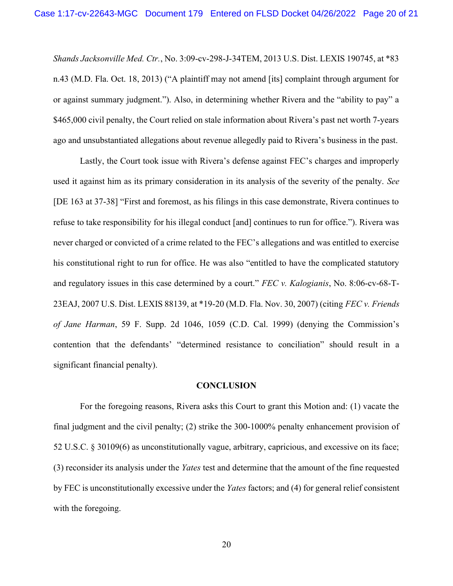Shands Jacksonville Med. Ctr., No. 3:09-cv-298-J-34TEM, 2013 U.S. Dist. LEXIS 190745, at \*83 n.43 (M.D. Fla. Oct. 18, 2013) ("A plaintiff may not amend [its] complaint through argument for or against summary judgment."). Also, in determining whether Rivera and the "ability to pay" a \$465,000 civil penalty, the Court relied on stale information about Rivera's past net worth 7-years ago and unsubstantiated allegations about revenue allegedly paid to Rivera's business in the past.

 Lastly, the Court took issue with Rivera's defense against FEC's charges and improperly used it against him as its primary consideration in its analysis of the severity of the penalty. See [DE 163 at 37-38] "First and foremost, as his filings in this case demonstrate, Rivera continues to refuse to take responsibility for his illegal conduct [and] continues to run for office."). Rivera was never charged or convicted of a crime related to the FEC's allegations and was entitled to exercise his constitutional right to run for office. He was also "entitled to have the complicated statutory and regulatory issues in this case determined by a court." FEC v. Kalogianis, No. 8:06-cv-68-T-23EAJ, 2007 U.S. Dist. LEXIS 88139, at \*19-20 (M.D. Fla. Nov. 30, 2007) (citing FEC v. Friends of Jane Harman, 59 F. Supp. 2d 1046, 1059 (C.D. Cal. 1999) (denying the Commission's contention that the defendants' "determined resistance to conciliation" should result in a significant financial penalty).

### **CONCLUSION**

 For the foregoing reasons, Rivera asks this Court to grant this Motion and: (1) vacate the final judgment and the civil penalty; (2) strike the 300-1000% penalty enhancement provision of 52 U.S.C. § 30109(6) as unconstitutionally vague, arbitrary, capricious, and excessive on its face; (3) reconsider its analysis under the Yates test and determine that the amount of the fine requested by FEC is unconstitutionally excessive under the Yates factors; and (4) for general relief consistent with the foregoing.